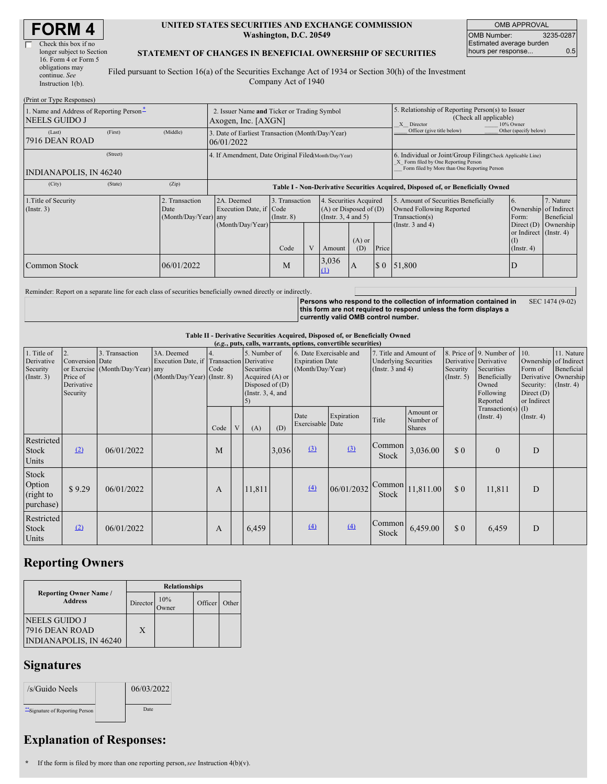| <b>FORM4</b> |  |
|--------------|--|
|--------------|--|

| longer subject to Section |
|---------------------------|
|                           |
|                           |
|                           |
|                           |
|                           |

### **UNITED STATES SECURITIES AND EXCHANGE COMMISSION Washington, D.C. 20549**

OMB APPROVAL OMB Number: 3235-0287 Estimated average burden hours per response... 0.5

### **STATEMENT OF CHANGES IN BENEFICIAL OWNERSHIP OF SECURITIES**

Filed pursuant to Section 16(a) of the Securities Exchange Act of 1934 or Section 30(h) of the Investment Company Act of 1940

| (Print or Type Responses)                                          |          |                                                                    |                                                                                  |                                                              |  |                   |                                                                              |                                                                                                       |                                                                                                                                                    |                                                                           |                         |
|--------------------------------------------------------------------|----------|--------------------------------------------------------------------|----------------------------------------------------------------------------------|--------------------------------------------------------------|--|-------------------|------------------------------------------------------------------------------|-------------------------------------------------------------------------------------------------------|----------------------------------------------------------------------------------------------------------------------------------------------------|---------------------------------------------------------------------------|-------------------------|
| 1. Name and Address of Reporting Person-<br><b>NEELS GUIDO J</b>   |          | 2. Issuer Name and Ticker or Trading Symbol<br>Axogen, Inc. [AXGN] |                                                                                  |                                                              |  |                   |                                                                              | 5. Relationship of Reporting Person(s) to Issuer<br>(Check all applicable)<br>X Director<br>10% Owner |                                                                                                                                                    |                                                                           |                         |
| (Last)<br>7916 DEAN ROAD                                           | (First)  | (Middle)                                                           | 3. Date of Earliest Transaction (Month/Day/Year)<br>06/01/2022                   |                                                              |  |                   |                                                                              | Officer (give title below)                                                                            | Other (specify below)                                                                                                                              |                                                                           |                         |
| INDIANAPOLIS, IN 46240                                             | (Street) |                                                                    | 4. If Amendment, Date Original Filed(Month/Day/Year)                             |                                                              |  |                   |                                                                              |                                                                                                       | 6. Individual or Joint/Group Filing(Check Applicable Line)<br>X Form filed by One Reporting Person<br>Form filed by More than One Reporting Person |                                                                           |                         |
| (City)                                                             | (State)  | (Zip)                                                              | Table I - Non-Derivative Securities Acquired, Disposed of, or Beneficially Owned |                                                              |  |                   |                                                                              |                                                                                                       |                                                                                                                                                    |                                                                           |                         |
| 1. Title of Security<br>2. Transaction<br>$($ Instr. 3 $)$<br>Date |          | (Month/Day/Year) any                                               | 2A. Deemed                                                                       | 3. Transaction<br>Execution Date, if Code<br>$($ Instr. $8)$ |  |                   | 4. Securities Acquired<br>$(A)$ or Disposed of $(D)$<br>(Insert. 3, 4 and 5) |                                                                                                       | 5. Amount of Securities Beneficially<br>Owned Following Reported<br>Transaction(s)                                                                 | 16.<br>Ownership of Indirect<br>Form:                                     | 7. Nature<br>Beneficial |
|                                                                    |          |                                                                    | (Month/Day/Year)                                                                 | Code                                                         |  | Amount            | $(A)$ or<br>(D)                                                              | Price                                                                                                 | (Instr. $3$ and $4$ )                                                                                                                              | Direct (D) Ownership<br>or Indirect (Instr. 4)<br>(I)<br>$($ Instr. 4 $)$ |                         |
| Common Stock                                                       |          | 06/01/2022                                                         |                                                                                  | M                                                            |  | 3,036<br>$\Omega$ | A                                                                            | $\boldsymbol{\mathsf{S}}$ 0                                                                           | 51,800                                                                                                                                             | D                                                                         |                         |

Reminder: Report on a separate line for each class of securities beneficially owned directly or indirectly.

**Persons who respond to the collection of information contained in this form are not required to respond unless the form displays a currently valid OMB control number.** SEC 1474 (9-02)

### **Table II - Derivative Securities Acquired, Disposed of, or Beneficially Owned**

|                                                      | (e.g., puts, calls, warrants, options, convertible securities) |                                                    |                                                                                        |                          |              |                                                                                            |       |                                                                       |            |                                                                                 |                                         |                              |                                                                                                                   |                                                                                     |                                                                      |
|------------------------------------------------------|----------------------------------------------------------------|----------------------------------------------------|----------------------------------------------------------------------------------------|--------------------------|--------------|--------------------------------------------------------------------------------------------|-------|-----------------------------------------------------------------------|------------|---------------------------------------------------------------------------------|-----------------------------------------|------------------------------|-------------------------------------------------------------------------------------------------------------------|-------------------------------------------------------------------------------------|----------------------------------------------------------------------|
| 1. Title of<br>Derivative<br>Security<br>(Insert. 3) | 2.<br>Conversion Date<br>Price of<br>Derivative<br>Security    | 3. Transaction<br>or Exercise (Month/Day/Year) any | 3A. Deemed<br>Execution Date, if Transaction Derivative<br>(Month/Day/Year) (Instr. 8) | $\overline{4}$ .<br>Code |              | 5. Number of<br>Securities<br>Acquired (A) or<br>Disposed of $(D)$<br>(Instr. $3, 4$ , and |       | 6. Date Exercisable and<br><b>Expiration Date</b><br>(Month/Day/Year) |            | 7. Title and Amount of<br><b>Underlying Securities</b><br>(Instr. $3$ and $4$ ) |                                         | Security<br>$($ Instr. 5 $)$ | 8. Price of 9. Number of<br>Derivative Derivative<br>Securities<br>Beneficially<br>Owned<br>Following<br>Reported | 10.<br>Ownership of Indirect<br>Form of<br>Security:<br>Direct $(D)$<br>or Indirect | 11. Nature<br>Beneficial<br>Derivative Ownership<br>$($ Instr. 4 $)$ |
|                                                      |                                                                |                                                    |                                                                                        | Code                     | $\mathbf{V}$ | (A)                                                                                        | (D)   | Date<br>Exercisable Date                                              | Expiration | Title                                                                           | Amount or<br>Number of<br><b>Shares</b> |                              | $Transaction(s)$ (I)<br>$($ Instr. 4 $)$                                                                          | (Insert. 4)                                                                         |                                                                      |
| Restricted<br>Stock<br>Units                         | (2)                                                            | 06/01/2022                                         |                                                                                        | M                        |              |                                                                                            | 3,036 | $\Omega$                                                              | $\Omega$   | Common<br>Stock                                                                 | 3,036.00                                | \$0                          | $\theta$                                                                                                          | D                                                                                   |                                                                      |
| Stock<br>Option<br>(right to<br>purchase)            | \$9.29                                                         | 06/01/2022                                         |                                                                                        | A                        |              | 11,811                                                                                     |       | (4)                                                                   | 06/01/2032 | Stock                                                                           | $\text{Common}$ 11,811.00               | \$0                          | 11,811                                                                                                            | D                                                                                   |                                                                      |
| Restricted<br>Stock<br>Units                         | (2)                                                            | 06/01/2022                                         |                                                                                        | A                        |              | 6,459                                                                                      |       | (4)                                                                   | (4)        | Common<br>Stock                                                                 | 6,459.00                                | \$0                          | 6,459                                                                                                             | D                                                                                   |                                                                      |

## **Reporting Owners**

|                                                                  | <b>Relationships</b> |                     |         |       |  |  |  |  |  |
|------------------------------------------------------------------|----------------------|---------------------|---------|-------|--|--|--|--|--|
| <b>Reporting Owner Name</b> /<br><b>Address</b>                  | Director             | 10%<br><b>Dwner</b> | Officer | Other |  |  |  |  |  |
| NEELS GUIDO J<br>7916 DEAN ROAD<br><b>INDIANAPOLIS, IN 46240</b> | X                    |                     |         |       |  |  |  |  |  |

### **Signatures**

| /s/Guido Neels                   | 06/03/2022 |  |
|----------------------------------|------------|--|
| ** Signature of Reporting Person | Date:      |  |

# **Explanation of Responses:**

**\*** If the form is filed by more than one reporting person,*see* Instruction 4(b)(v).